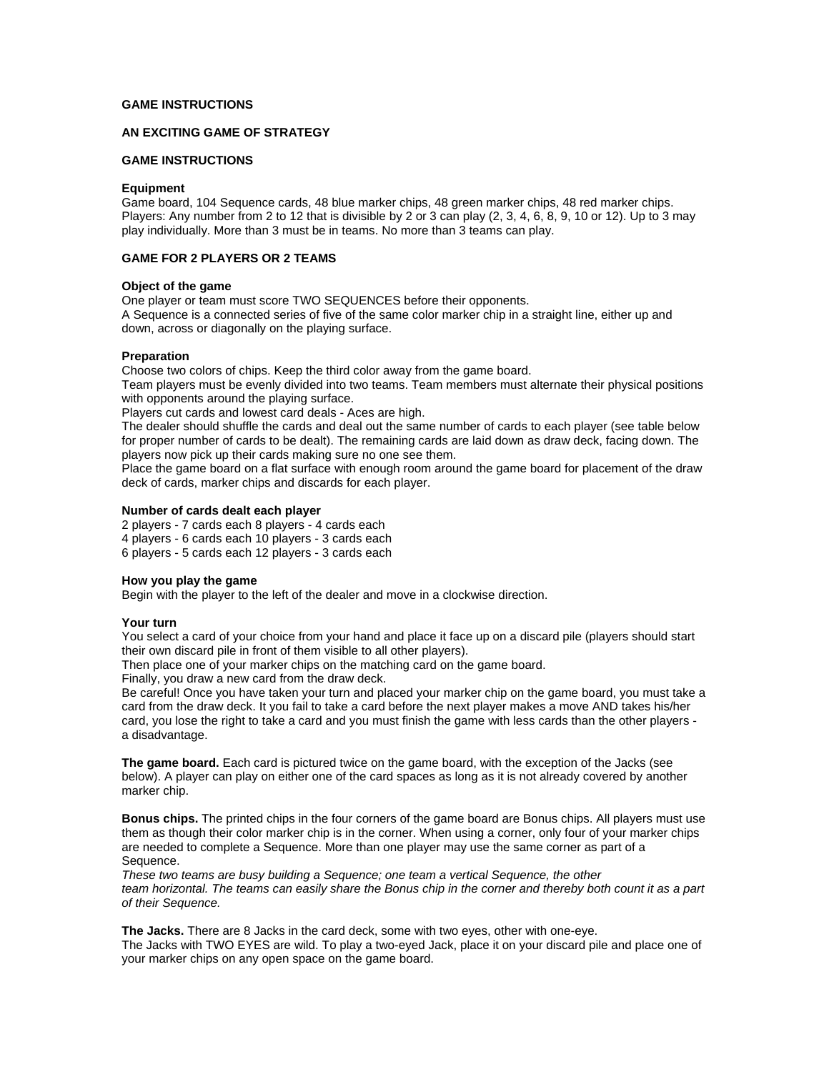# **GAME INSTRUCTIONS**

# **AN EXCITING GAME OF STRATEGY**

# **GAME INSTRUCTIONS**

## **Equipment**

Game board, 104 Sequence cards, 48 blue marker chips, 48 green marker chips, 48 red marker chips. Players: Any number from 2 to 12 that is divisible by 2 or 3 can play (2, 3, 4, 6, 8, 9, 10 or 12). Up to 3 may play individually. More than 3 must be in teams. No more than 3 teams can play.

# **GAME FOR 2 PLAYERS OR 2 TEAMS**

## **Object of the game**

One player or team must score TWO SEQUENCES before their opponents.

A Sequence is a connected series of five of the same color marker chip in a straight line, either up and down, across or diagonally on the playing surface.

## **Preparation**

Choose two colors of chips. Keep the third color away from the game board.

Team players must be evenly divided into two teams. Team members must alternate their physical positions with opponents around the playing surface.

Players cut cards and lowest card deals - Aces are high.

The dealer should shuffle the cards and deal out the same number of cards to each player (see table below for proper number of cards to be dealt). The remaining cards are laid down as draw deck, facing down. The players now pick up their cards making sure no one see them.

Place the game board on a flat surface with enough room around the game board for placement of the draw deck of cards, marker chips and discards for each player.

## **Number of cards dealt each player**

2 players - 7 cards each 8 players - 4 cards each

- 4 players 6 cards each 10 players 3 cards each
- 6 players 5 cards each 12 players 3 cards each

# **How you play the game**

Begin with the player to the left of the dealer and move in a clockwise direction.

# **Your turn**

You select a card of your choice from your hand and place it face up on a discard pile (players should start their own discard pile in front of them visible to all other players).

Then place one of your marker chips on the matching card on the game board.

Finally, you draw a new card from the draw deck.

Be careful! Once you have taken your turn and placed your marker chip on the game board, you must take a card from the draw deck. It you fail to take a card before the next player makes a move AND takes his/her card, you lose the right to take a card and you must finish the game with less cards than the other players a disadvantage.

**The game board.** Each card is pictured twice on the game board, with the exception of the Jacks (see below). A player can play on either one of the card spaces as long as it is not already covered by another marker chip.

**Bonus chips.** The printed chips in the four corners of the game board are Bonus chips. All players must use them as though their color marker chip is in the corner. When using a corner, only four of your marker chips are needed to complete a Sequence. More than one player may use the same corner as part of a Sequence.

*These two teams are busy building a Sequence; one team a vertical Sequence, the other team horizontal. The teams can easily share the Bonus chip in the corner and thereby both count it as a part of their Sequence.* 

**The Jacks.** There are 8 Jacks in the card deck, some with two eyes, other with one-eye. The Jacks with TWO EYES are wild. To play a two-eyed Jack, place it on your discard pile and place one of your marker chips on any open space on the game board.